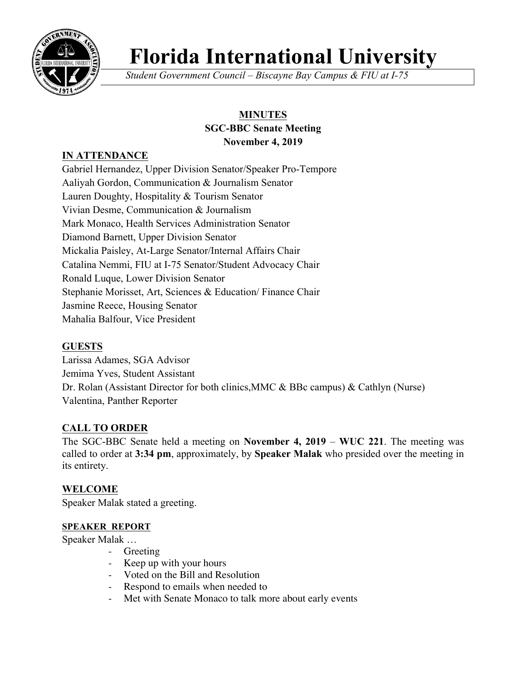

# **Florida International University**

*Student Government Council – Biscayne Bay Campus & FIU at I-75*

## **MINUTES SGC-BBC Senate Meeting November 4, 2019**

## **IN ATTENDANCE**

Gabriel Hernandez, Upper Division Senator/Speaker Pro-Tempore Aaliyah Gordon, Communication & Journalism Senator Lauren Doughty, Hospitality & Tourism Senator Vivian Desme, Communication & Journalism Mark Monaco, Health Services Administration Senator Diamond Barnett, Upper Division Senator Mickalia Paisley, At-Large Senator/Internal Affairs Chair Catalina Nemmi, FIU at I-75 Senator/Student Advocacy Chair Ronald Luque, Lower Division Senator Stephanie Morisset, Art, Sciences & Education/ Finance Chair Jasmine Reece, Housing Senator Mahalia Balfour, Vice President

## **GUESTS**

Larissa Adames, SGA Advisor Jemima Yves, Student Assistant Dr. Rolan (Assistant Director for both clinics,MMC & BBc campus) & Cathlyn (Nurse) Valentina, Panther Reporter

## **CALL TO ORDER**

The SGC-BBC Senate held a meeting on **November 4, 2019** – **WUC 221**. The meeting was called to order at **3:34 pm**, approximately, by **Speaker Malak** who presided over the meeting in its entirety.

## **WELCOME**

Speaker Malak stated a greeting.

#### **SPEAKER REPORT**

Speaker Malak …

- Greeting
- Keep up with your hours
- Voted on the Bill and Resolution
- Respond to emails when needed to
- Met with Senate Monaco to talk more about early events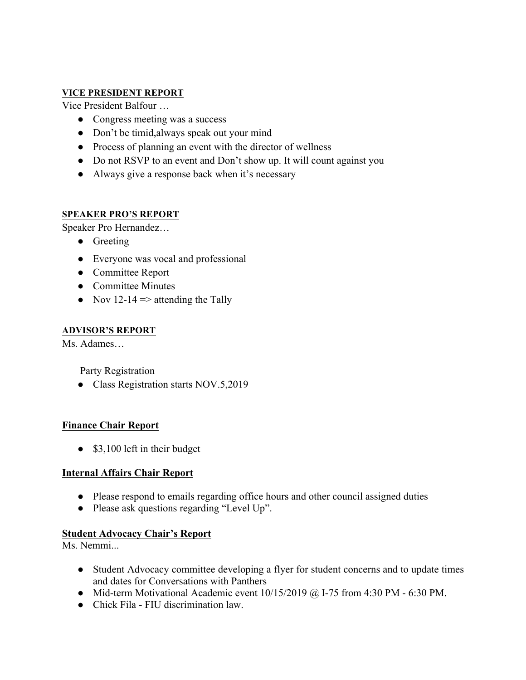#### **VICE PRESIDENT REPORT**

Vice President Balfour …

- Congress meeting was a success
- Don't be timid, always speak out your mind
- Process of planning an event with the director of wellness
- Do not RSVP to an event and Don't show up. It will count against you
- Always give a response back when it's necessary

#### **SPEAKER PRO'S REPORT**

Speaker Pro Hernandez…

- Greeting
- Everyone was vocal and professional
- Committee Report
- Committee Minutes
- Nov 12-14  $\Rightarrow$  attending the Tally

#### **ADVISOR'S REPORT**

Ms. Adames…

Party Registration

● Class Registration starts NOV.5,2019

#### **Finance Chair Report**

• \$3,100 left in their budget

#### **Internal Affairs Chair Report**

- Please respond to emails regarding office hours and other council assigned duties
- Please ask questions regarding "Level Up".

#### **Student Advocacy Chair's Report**

Ms. Nemmi...

- Student Advocacy committee developing a flyer for student concerns and to update times and dates for Conversations with Panthers
- Mid-term Motivational Academic event  $10/15/2019$  @ I-75 from 4:30 PM 6:30 PM.
- Chick Fila FIU discrimination law.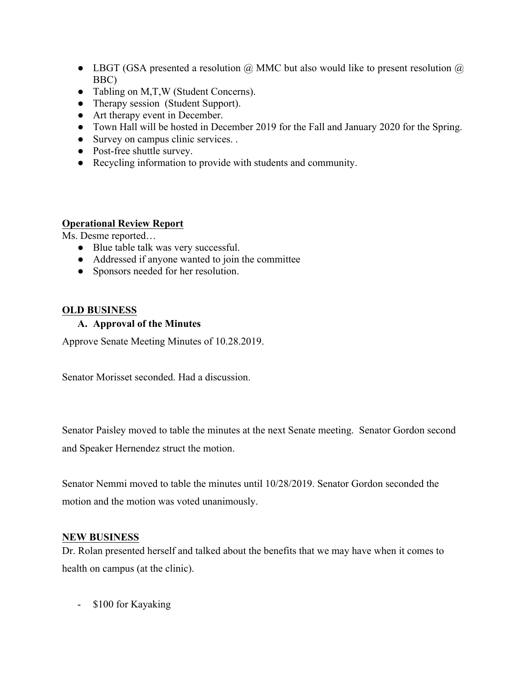- LBGT (GSA presented a resolution  $\omega$  MMC but also would like to present resolution  $\omega$ BBC)
- Tabling on M,T,W (Student Concerns).
- Therapy session (Student Support).
- Art therapy event in December.
- Town Hall will be hosted in December 2019 for the Fall and January 2020 for the Spring.
- Survey on campus clinic services. .
- Post-free shuttle survey.
- Recycling information to provide with students and community.

#### **Operational Review Report**

Ms. Desme reported…

- Blue table talk was very successful.
- Addressed if anyone wanted to join the committee
- Sponsors needed for her resolution.

#### **OLD BUSINESS**

#### **A. Approval of the Minutes**

Approve Senate Meeting Minutes of 10.28.2019.

Senator Morisset seconded. Had a discussion.

Senator Paisley moved to table the minutes at the next Senate meeting. Senator Gordon second and Speaker Hernendez struct the motion.

Senator Nemmi moved to table the minutes until 10/28/2019. Senator Gordon seconded the motion and the motion was voted unanimously.

#### **NEW BUSINESS**

Dr. Rolan presented herself and talked about the benefits that we may have when it comes to health on campus (at the clinic).

- \$100 for Kayaking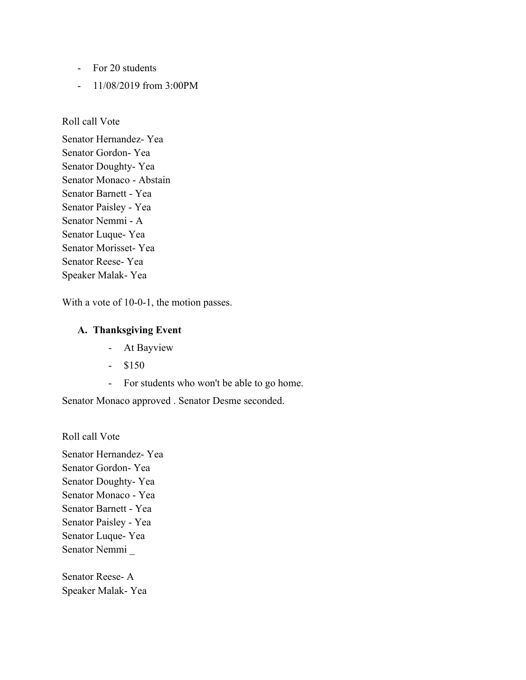- For 20 students
- 11/08/2019 from 3:00PM

Roll call Vote

Senator Hernandez- Yea Senator Gordon- Yea Senator Doughty- Yea Senator Monaco - Abstain Senator Barnett - Yea Senator Paisley - Yea Senator Nemmi - A Senator Luque- Yea Senator Morisset- Yea Senator Reese- Yea Speaker Malak- Yea

With a vote of 10-0-1, the motion passes.

#### **A. Thanksgiving Event**

- At Bayview
- $-$  \$150
- For students who won't be able to go home.

Senator Monaco approved . Senator Desme seconded.

Roll call Vote

Senator Hernandez- Yea Senator Gordon- Yea Senator Doughty- Yea Senator Monaco - Yea Senator Barnett - Yea Senator Paisley - Yea Senator Luque- Yea Senator Nemmi \_

Senator Reese- A Speaker Malak- Yea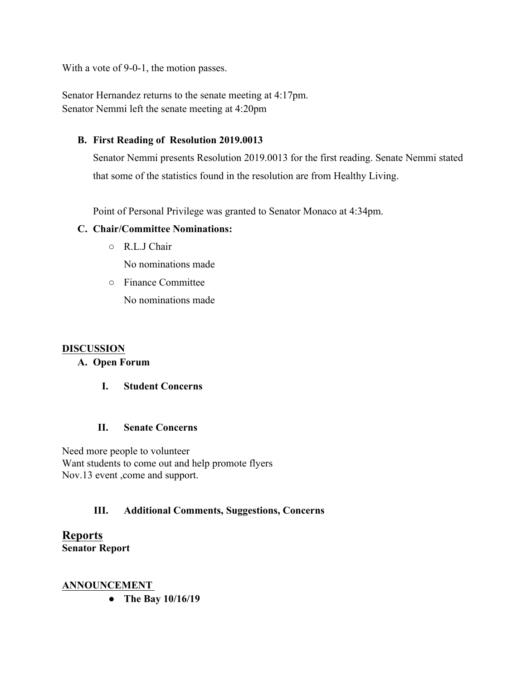With a vote of 9-0-1, the motion passes.

Senator Hernandez returns to the senate meeting at 4:17pm. Senator Nemmi left the senate meeting at 4:20pm

## **B. First Reading of Resolution 2019.0013**

Senator Nemmi presents Resolution 2019.0013 for the first reading. Senate Nemmi stated that some of the statistics found in the resolution are from Healthy Living.

Point of Personal Privilege was granted to Senator Monaco at 4:34pm.

## **C. Chair/Committee Nominations:**

○ R.L.J Chair

No nominations made

○ Finance Committee

No nominations made

#### **DISCUSSION**

#### **A. Open Forum**

#### **I. Student Concerns**

#### **II. Senate Concerns**

Need more people to volunteer Want students to come out and help promote flyers Nov.13 event ,come and support.

## **III. Additional Comments, Suggestions, Concerns**

**Reports Senator Report**

#### **ANNOUNCEMENT**

● **The Bay 10/16/19**